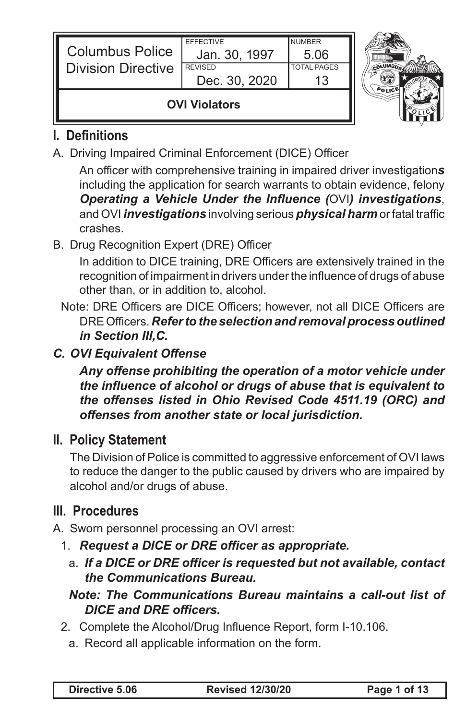| <b>Columbus Police</b><br><b>Division Directive</b> | <b>EFFECTIVE</b><br>Jan. 30, 1997<br><b>REVISED</b><br>Dec. 30, 2020 | <b>NUMBER</b><br>5.06<br><b>TOTAL PAGES</b> |  |
|-----------------------------------------------------|----------------------------------------------------------------------|---------------------------------------------|--|
| <b>OVI Violators</b>                                |                                                                      |                                             |  |

# **I. Definitions**

A. Driving Impaired Criminal Enforcement (DICE) Officer

 An officer with comprehensive training in impaired driver investigation*s* including the application for search warrants to obtain evidence, felony *Operating a Vehicle Under the Influence (*OVI*) investigations*, and OVI *investigations* involving serious *physical harm* or fatal traffic crashes.

B. Drug Recognition Expert (DRE) Officer

 In addition to DICE training, DRE Officers are extensively trained in the recognition of impairment in drivers underthe influence of drugs of abuse other than, or in addition to, alcohol.

- Note: DRE Officers are DICE Officers; however, not all DICE Officers are DREOfficers. *Refer to the selection and removal process outlined in Section III,C.*
- *C. OVI Equivalent Offense*

*Any offense prohibiting the operation of a motor vehicle under the influence of alcohol or drugs of abuse that is equivalent to the offenses listed in Ohio Revised Code 4511.19 (ORC) and offenses from another state or local jurisdiction.*

# **II. Policy Statement**

 The Division of Police is committed to aggressive enforcement of OVI laws to reduce the danger to the public caused by drivers who are impaired by alcohol and/or drugs of abuse.

# **III. Procedures**

- A. Sworn personnel processing an OVI arrest:
	- 1. *Request a DICE or DRE officer as appropriate.*
		- a. *If a DICE or DRE officer is requested but not available, contact the Communications Bureau.*

- 2. Complete the Alcohol/Drug Influence Report, form I-10.106.
	- a. Record all applicable information on the form.

*Note: The Communications Bureau maintains a call-out list of DICE and DRE officers.*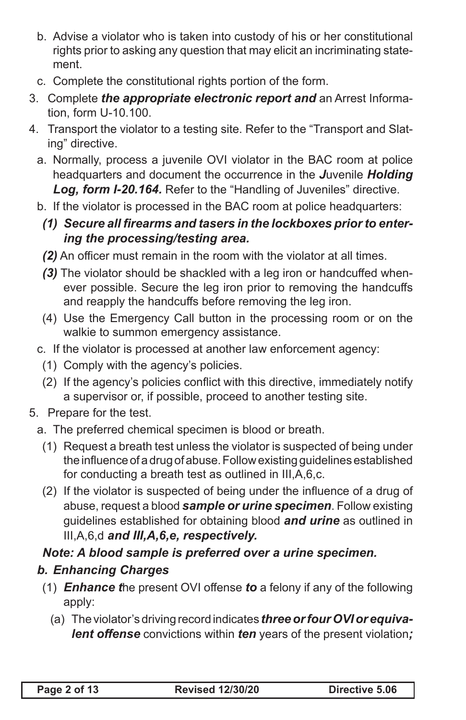- b. Advise a violator who is taken into custody of his or her constitutional rights prior to asking any question that may elicit an incriminating statement.
- c. Complete the constitutional rights portion of the form.
- 3. Complete *the appropriate electronic report and* an Arrest Information, form U-10.100.
- 4. Transport the violator to a testing site. Refer to the "Transport and Slating" directive.
	- a. Normally, process a juvenile OVI violator in the BAC room at police headquarters and document the occurrence in the *J*uvenile *Holding Log, form I-20.164.* Refer to the "Handling of Juveniles" directive.
	- b. If the violator is processed in the BAC room at police headquarters:
	- *(1) Secure all firearms and tasers in the lockboxes prior to entering the processing/testing area.*
	- *(2)* An officer must remain in the room with the violator at all times.
	- *(3)* The violator should be shackled with a leg iron or handcuffed whenever possible. Secure the leg iron prior to removing the handcuffs and reapply the handcuffs before removing the leg iron.
	- (4) Use the Emergency Call button in the processing room or on the walkie to summon emergency assistance.
	- c. If the violator is processed at another law enforcement agency:
		- (1) Comply with the agency's policies.
		- (2) If the agency's policies conflict with this directive, immediately notify a supervisor or, if possible, proceed to another testing site.
- 5. Prepare for the test.
	- a. The preferred chemical specimen is blood or breath.
		- (1) Request a breath test unless the violator is suspected of being under the influence of a drug of abuse. Follow existing quidelines established for conducting a breath test as outlined in III,A,6,c.
		- (2) If the violator is suspected of being under the influence of a drug of abuse, request a blood *sample or urine specimen*. Follow existing guidelines established for obtaining blood *and urine* as outlined in III,A,6,d *and III,A,6,e, respectively.*

## *Note: A blood sample is preferred over a urine specimen.*

# *b. Enhancing Charges*

- (1) *Enhance t*he present OVI offense *to* a felony if any of the following apply:
	- (a) The violator's driving record indicates **three or four OVI or equiva***lent offense* convictions within *ten* years of the present violation*;*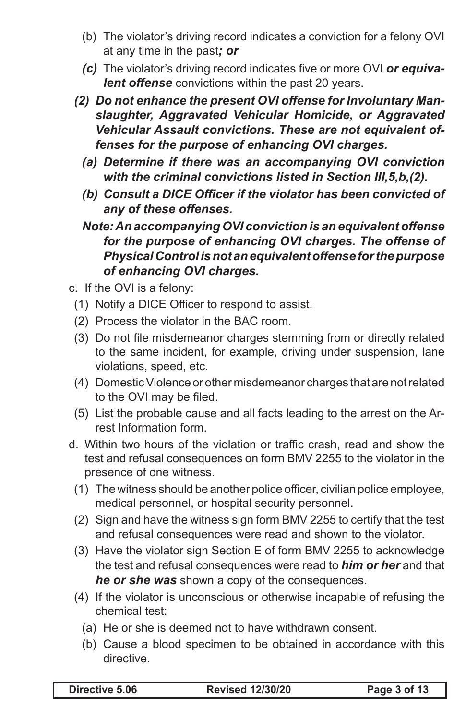- (b) The violator's driving record indicates a conviction for a felony OVI at any time in the past*; or*
- *(c)* The violator's driving record indicates five or more OVI *or equivalent offense* convictions within the past 20 years.
- *(2) Do not enhance the present OVI offense for Involuntary Manslaughter, Aggravated Vehicular Homicide, or Aggravated Vehicular Assault convictions. These are not equivalent offenses for the purpose of enhancing OVI charges.*
	- *(a) Determine if there was an accompanying OVI conviction with the criminal convictions listed in Section III,5,b,(2).*
	- *(b) Consult a DICE Officer if the violator has been convicted of any of these offenses.*
	- *Note: An accompanying OVI conviction is an equivalent offense for the purpose of enhancing OVI charges. The offense of Physical Control is not an equivalent offense for the purpose of enhancing OVI charges.*
- c. If the OVI is a felony:
	- (1) Notify a DICE Officer to respond to assist.
	- (2) Process the violator in the BAC room.
	- (3) Do not file misdemeanor charges stemming from or directly related to the same incident, for example, driving under suspension, lane violations, speed, etc.
	- (4) Domestic Violence or other misdemeanor charges that are not related to the OVI may be filed.
	- (5) List the probable cause and all facts leading to the arrest on the Arrest Information form.
- d. Within two hours of the violation or traffic crash, read and show the test and refusal consequences on form BMV 2255 to the violator in the presence of one witness.
	- (1) The witness should be another police officer, civilian police employee, medical personnel, or hospital security personnel.
	- (2) Sign and have the witness sign form BMV 2255 to certify that the test and refusal consequences were read and shown to the violator.
	- (3) Have the violator sign Section E of form BMV 2255 to acknowledge the test and refusal consequences were read to *him or her* and that *he or she was* shown a copy of the consequences.
	- (4) If the violator is unconscious or otherwise incapable of refusing the chemical test:
		- (a) He or she is deemed not to have withdrawn consent.
		- (b) Cause a blood specimen to be obtained in accordance with this directive.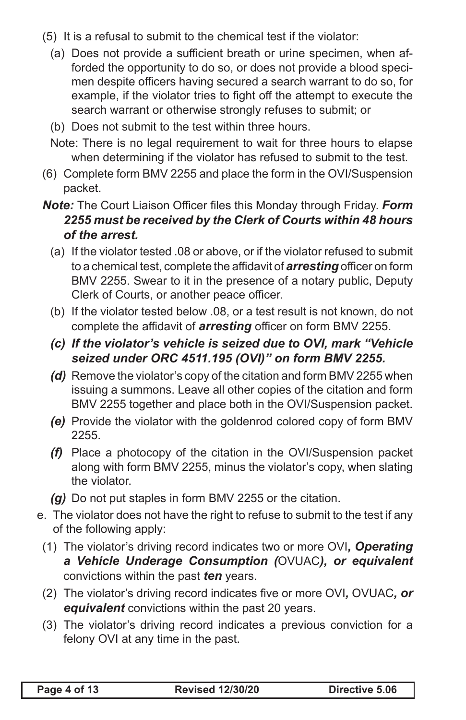- (5) It is a refusal to submit to the chemical test if the violator:
	- (a) Does not provide a sufficient breath or urine specimen, when afforded the opportunity to do so, or does not provide a blood specimen despite officers having secured a search warrant to do so, for example, if the violator tries to fight off the attempt to execute the search warrant or otherwise strongly refuses to submit; or
	- (b) Does not submit to the test within three hours.
	- Note: There is no legal requirement to wait for three hours to elapse when determining if the violator has refused to submit to the test.
- (6) Complete form BMV 2255 and place the form in the OVI/Suspension packet.
- *Note:* The Court Liaison Officer files this Monday through Friday. *Form 2255 must be received by the Clerk of Courts within 48 hours of the arrest.*
	- (a) If the violator tested .08 or above, or if the violator refused to submit to a chemical test, complete the affidavit of *arresting* officer on form BMV 2255. Swear to it in the presence of a notary public, Deputy Clerk of Courts, or another peace officer.
	- (b) If the violator tested below .08, or a test result is not known, do not complete the affidavit of *arresting* officer on form BMV 2255.
	- *(c) If the violator's vehicle is seized due to OVI, mark "Vehicle seized under ORC 4511.195 (OVI)" on form BMV 2255.*
	- **(d)** Remove the violator's copy of the citation and form BMV 2255 when issuing a summons. Leave all other copies of the citation and form BMV 2255 together and place both in the OVI/Suspension packet.
	- **(e)** Provide the violator with the goldenrod colored copy of form BMV 2255.
	- *(f)* Place a photocopy of the citation in the OVI/Suspension packet along with form BMV 2255, minus the violator's copy, when slating the violator.
	- *(g)* Do not put staples in form BMV 2255 or the citation.
- e. The violator does not have the right to refuse to submit to the test if any of the following apply:
	- (1) The violator's driving record indicates two or more OVI*, Operating a Vehicle Underage Consumption (*OVUAC*), or equivalent* convictions within the past *ten* years.
	- (2) The violator's driving record indicates five or more OVI*,* OVUAC*, or equivalent* convictions within the past 20 years.
	- (3) The violator's driving record indicates a previous conviction for a felony OVI at any time in the past.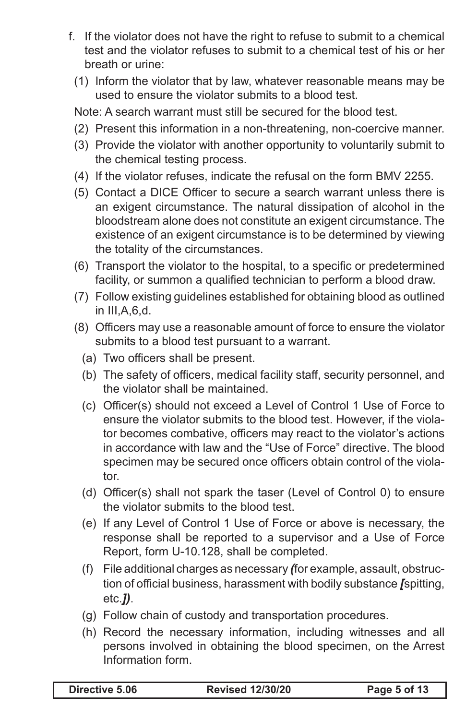- f. If the violator does not have the right to refuse to submit to a chemical test and the violator refuses to submit to a chemical test of his or her breath or urine:
	- (1) Inform the violator that by law, whatever reasonable means may be used to ensure the violator submits to a blood test.

Note: A search warrant must still be secured for the blood test.

- (2) Present this information in a non-threatening, non-coercive manner.
- (3) Provide the violator with another opportunity to voluntarily submit to the chemical testing process.
- (4) If the violator refuses, indicate the refusal on the form BMV 2255.
- (5) Contact a DICE Officer to secure a search warrant unless there is an exigent circumstance. The natural dissipation of alcohol in the bloodstream alone does not constitute an exigent circumstance. The existence of an exigent circumstance is to be determined by viewing the totality of the circumstances.
- (6) Transport the violator to the hospital, to a specific or predetermined facility, or summon a qualified technician to perform a blood draw.
- (7) Follow existing guidelines established for obtaining blood as outlined in III,A,6,d.
- (8) Officers may use a reasonable amount of force to ensure the violator submits to a blood test pursuant to a warrant.
	- (a) Two officers shall be present.
	- (b) The safety of officers, medical facility staff, security personnel, and the violator shall be maintained.
	- (c) Officer(s) should not exceed a Level of Control 1 Use of Force to ensure the violator submits to the blood test. However, if the violator becomes combative, officers may react to the violator's actions in accordance with law and the "Use of Force" directive. The blood specimen may be secured once officers obtain control of the violator.
	- (d) Officer(s) shall not spark the taser (Level of Control 0) to ensure the violator submits to the blood test.
	- (e) If any Level of Control 1 Use of Force or above is necessary, the response shall be reported to a supervisor and a Use of Force Report, form U-10.128, shall be completed.
	- (f) File additional charges as necessary *(*for example, assault, obstruction of official business, harassment with bodily substance *[*spitting, etc.*])*.
	- (g) Follow chain of custody and transportation procedures.
	- (h) Record the necessary information, including witnesses and all persons involved in obtaining the blood specimen, on the Arrest Information form.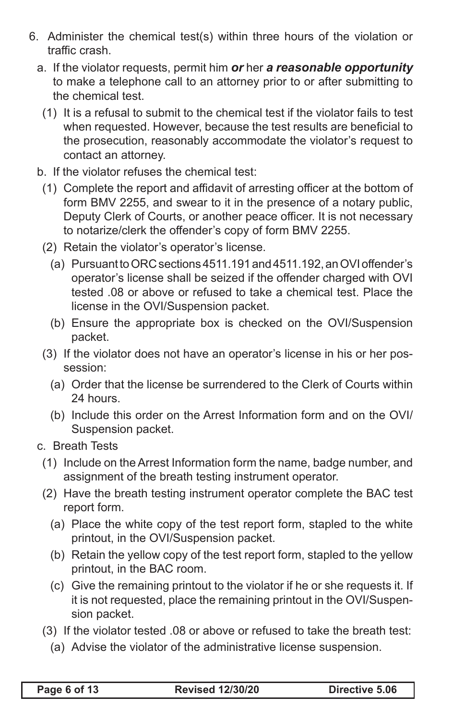- 6. Administer the chemical test(s) within three hours of the violation or traffic crash.
	- a. If the violator requests, permit him *or* her *a reasonable opportunity* to make a telephone call to an attorney prior to or after submitting to the chemical test.
		- (1) It is a refusal to submit to the chemical test if the violator fails to test when requested. However, because the test results are beneficial to the prosecution, reasonably accommodate the violator's request to contact an attorney.
	- b. If the violator refuses the chemical test:
		- (1) Complete the report and affidavit of arresting officer at the bottom of form BMV 2255, and swear to it in the presence of a notary public, Deputy Clerk of Courts, or another peace officer. It is not necessary to notarize/clerk the offender's copy of form BMV 2255.
		- (2) Retain the violator's operator's license.
			- (a) Pursuant to ORC sections 4511.191 and 4511.192, an OVI offender's operator's license shall be seized if the offender charged with OVI tested .08 or above or refused to take a chemical test. Place the license in the OVI/Suspension packet.
			- (b) Ensure the appropriate box is checked on the OVI/Suspension packet.
		- (3) If the violator does not have an operator's license in his or her possession:
			- (a) Order that the license be surrendered to the Clerk of Courts within 24 hours.
			- (b) Include this order on the Arrest Information form and on the OVI/ Suspension packet.
	- c. Breath Tests
		- (1) Include on the Arrest Information form the name, badge number, and assignment of the breath testing instrument operator.
		- (2) Have the breath testing instrument operator complete the BAC test report form.
			- (a) Place the white copy of the test report form, stapled to the white printout, in the OVI/Suspension packet.
			- (b) Retain the yellow copy of the test report form, stapled to the yellow printout, in the BAC room.
			- (c) Give the remaining printout to the violator if he or she requests it. If it is not requested, place the remaining printout in the OVI/Suspension packet.
		- (3) If the violator tested .08 or above or refused to take the breath test:
			- (a) Advise the violator of the administrative license suspension.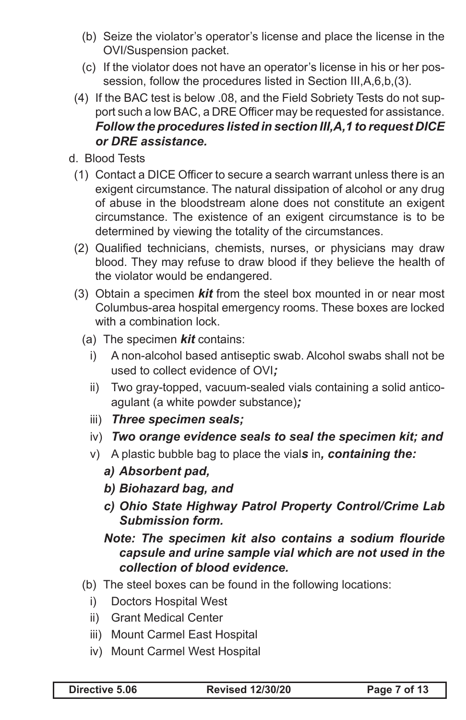- (b) Seize the violator's operator's license and place the license in the OVI/Suspension packet.
- (c) If the violator does not have an operator's license in his or her possession, follow the procedures listed in Section III,A,6,b,(3).
- (4) If the BAC test is below .08, and the Field Sobriety Tests do not support such a low BAC, a DRE Officer may be requested for assistance. *Follow the procedures listed in section III,A,1 to request DICE or DRE assistance.*
- d. Blood Tests
	- (1) Contact a DICE Officer to secure a search warrant unless there is an exigent circumstance. The natural dissipation of alcohol or any drug of abuse in the bloodstream alone does not constitute an exigent circumstance. The existence of an exigent circumstance is to be determined by viewing the totality of the circumstances.
	- (2) Qualified technicians, chemists, nurses, or physicians may draw blood. They may refuse to draw blood if they believe the health of the violator would be endangered.
	- (3) Obtain a specimen *kit* from the steel box mounted in or near most Columbus-area hospital emergency rooms. These boxes are locked with a combination lock.
		- (a) The specimen *kit* contains:
			- i) A non-alcohol based antiseptic swab. Alcohol swabs shall not be used to collect evidence of OVI*;*
			- ii) Two gray-topped, vacuum-sealed vials containing a solid anticoagulant (a white powder substance)*;*
			- iii) *Three specimen seals;*
			- iv) *Two orange evidence seals to seal the specimen kit; and*
			- v) A plastic bubble bag to place the vial*s* in*, containing the:*
				- *a) Absorbent pad,*
				- *b) Biohazard bag, and*
				- *c) Ohio State Highway Patrol Property Control/Crime Lab Submission form.*

### *Note: The specimen kit also contains a sodium flouride capsule and urine sample vial which are not used in the collection of blood evidence.*

- (b) The steel boxes can be found in the following locations:
	- i) Doctors Hospital West
	- ii) Grant Medical Center
	- iii) Mount Carmel East Hospital
	- iv) Mount Carmel West Hospital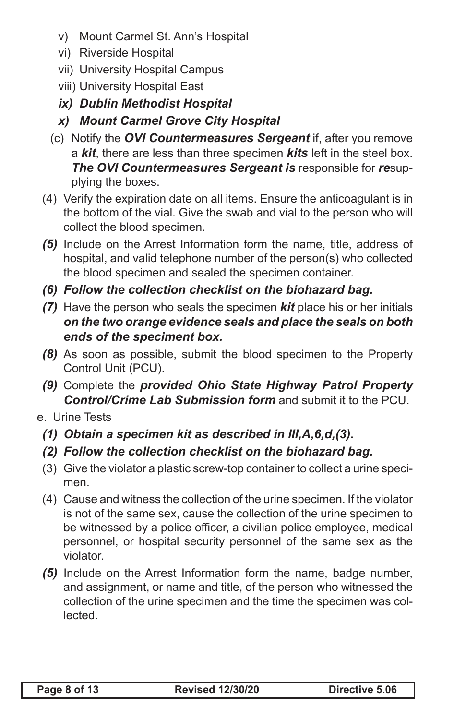- v) Mount Carmel St. Ann's Hospital
- vi) Riverside Hospital
- vii) University Hospital Campus
- viii) University Hospital East
- *ix) Dublin Methodist Hospital*
- *x) Mount Carmel Grove City Hospital*
- (c) Notify the *OVI Countermeasures Sergeant* if, after you remove a *kit*, there are less than three specimen *kits* left in the steel box. *The OVI Countermeasures Sergeant is* responsible for *re*supplying the boxes.
- (4) Verify the expiration date on all items. Ensure the anticoagulant is in the bottom of the vial. Give the swab and vial to the person who will collect the blood specimen.
- *(5)* Include on the Arrest Information form the name, title, address of hospital, and valid telephone number of the person(s) who collected the blood specimen and sealed the specimen container.
- *(6) Follow the collection checklist on the biohazard bag.*
- *(7)* Have the person who seals the specimen *kit* place his or her initials *on the two orange evidence seals and place the seals on both ends of the speciment box.*
- *(8)* As soon as possible, submit the blood specimen to the Property Control Unit (PCU).
- *(9)* Complete the *provided Ohio State Highway Patrol Property Control/Crime Lab Submission form* and submit it to the PCU.
- e. Urine Tests
	- *(1) Obtain a specimen kit as described in III,A,6,d,(3).*
	- *(2) Follow the collection checklist on the biohazard bag.*
	- (3) Give the violator a plastic screw-top container to collect a urine specimen.
	- (4) Cause and witness the collection of the urine specimen. If the violator is not of the same sex, cause the collection of the urine specimen to be witnessed by a police officer, a civilian police employee, medical personnel, or hospital security personnel of the same sex as the violator.
	- *(5)* Include on the Arrest Information form the name, badge number, and assignment, or name and title, of the person who witnessed the collection of the urine specimen and the time the specimen was collected.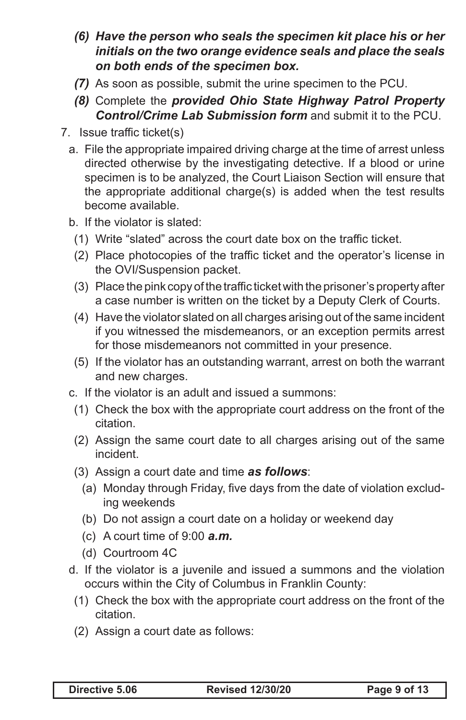- *(6) Have the person who seals the specimen kit place his or her initials on the two orange evidence seals and place the seals on both ends of the specimen box.*
- *(7)* As soon as possible, submit the urine specimen to the PCU.
- *(8)* Complete the *provided Ohio State Highway Patrol Property Control/Crime Lab Submission form* and submit it to the PCU.
- 7. Issue traffic ticket(s)
	- a. File the appropriate impaired driving charge at the time of arrest unless directed otherwise by the investigating detective. If a blood or urine specimen is to be analyzed, the Court Liaison Section will ensure that the appropriate additional charge(s) is added when the test results become available.
	- b. If the violator is slated:
		- (1) Write "slated" across the court date box on the traffic ticket.
		- (2) Place photocopies of the traffic ticket and the operator's license in the OVI/Suspension packet.
		- (3) Place the pink copy of the traffic ticket with the prisoner's property after a case number is written on the ticket by a Deputy Clerk of Courts.
		- (4) Have the violator slated on all charges arising out of the same incident if you witnessed the misdemeanors, or an exception permits arrest for those misdemeanors not committed in your presence.
		- (5) If the violator has an outstanding warrant, arrest on both the warrant and new charges.
	- c. If the violator is an adult and issued a summons:
		- (1) Check the box with the appropriate court address on the front of the citation.
		- (2) Assign the same court date to all charges arising out of the same incident.
		- (3) Assign a court date and time *as follows*:
			- (a) Monday through Friday, five days from the date of violation excluding weekends
			- (b) Do not assign a court date on a holiday or weekend day
			- (c) A court time of 9:00 *a.m.*
			- (d) Courtroom 4C
	- d. If the violator is a juvenile and issued a summons and the violation occurs within the City of Columbus in Franklin County:
		- (1) Check the box with the appropriate court address on the front of the citation.
		- (2) Assign a court date as follows: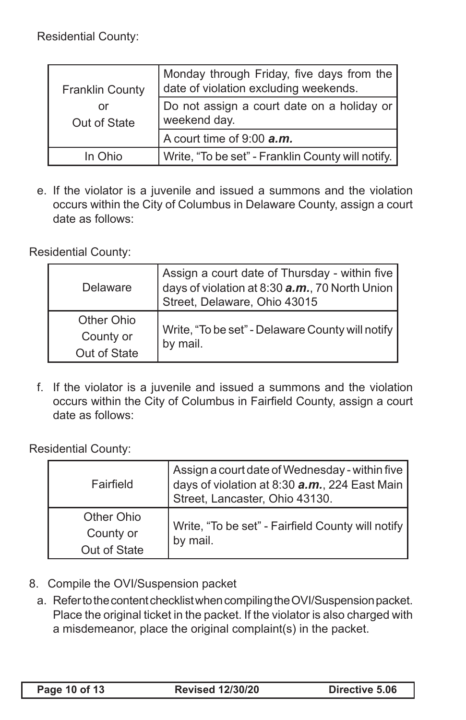Residential County:

| <b>Franklin County</b> | $^\dagger$ Monday through Friday, five days from the $\vert$<br>date of violation excluding weekends. |
|------------------------|-------------------------------------------------------------------------------------------------------|
| or<br>Out of State     | Do not assign a court date on a holiday or<br>weekend day.                                            |
|                        | A court time of 9:00 <b>a.m.</b>                                                                      |
| In Ohio                | Write, "To be set" - Franklin County will notify.                                                     |

e. If the violator is a juvenile and issued a summons and the violation occurs within the City of Columbus in Delaware County, assign a court date as follows:

Residential County:

| Delaware     | Assign a court date of Thursday - within five<br>days of violation at 8:30 $a.m.$ , 70 North Union<br>Street, Delaware, Ohio 43015 |  |
|--------------|------------------------------------------------------------------------------------------------------------------------------------|--|
| Other Ohio   | Write, "To be set" - Delaware County will notify<br>by mail.                                                                       |  |
| County or    |                                                                                                                                    |  |
| Out of State |                                                                                                                                    |  |

f. If the violator is a juvenile and issued a summons and the violation occurs within the City of Columbus in Fairfield County, assign a court date as follows:

Residential County:

| Fairfield    | $\mid$ Assign a court date of Wednesday - within five $\mid$<br>days of violation at 8:30 a.m., 224 East Main<br>Street, Lancaster, Ohio 43130. |  |
|--------------|-------------------------------------------------------------------------------------------------------------------------------------------------|--|
| Other Ohio   | Write, "To be set" - Fairfield County will notify<br>by mail.                                                                                   |  |
| County or    |                                                                                                                                                 |  |
| Out of State |                                                                                                                                                 |  |

- 8. Compile the OVI/Suspension packet
	- a. Refer to the content checklist when compiling the OVI/Suspension packet. Place the original ticket in the packet. If the violator is also charged with a misdemeanor, place the original complaint(s) in the packet.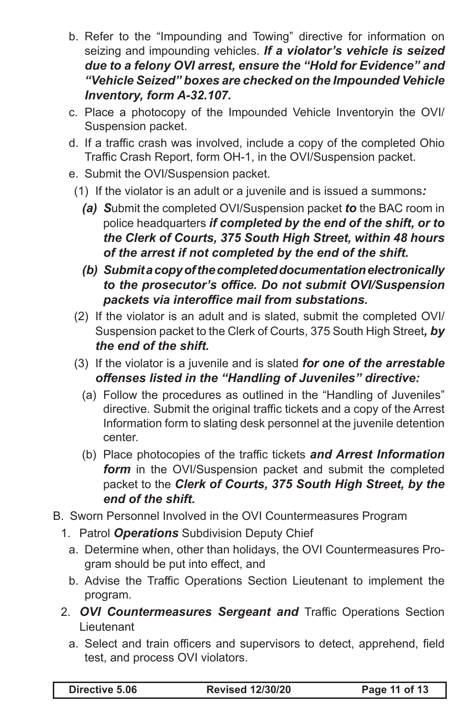- b. Refer to the "Impounding and Towing" directive for information on seizing and impounding vehicles. *If a violator's vehicle is seized due to a felony OVI arrest, ensure the "Hold for Evidence" and "Vehicle Seized" boxes are checked on the Impounded Vehicle Inventory, form A-32.107.*
- c. Place a photocopy of the Impounded Vehicle Inventoryin the OVI/ Suspension packet.
- d. If a traffic crash was involved, include a copy of the completed Ohio Traffic Crash Report, form OH-1, in the OVI/Suspension packet.
- e. Submit the OVI/Suspension packet.
- (1) If the violator is an adult or a juvenile and is issued a summons*:*
	- *(a) S*ubmit the completed OVI/Suspension packet *to* the BAC room in police headquarters *if completed by the end of the shift, or to the Clerk of Courts, 375 South High Street, within 48 hours of the arrest if not completed by the end of the shift.*
	- *(b) Submit a copy of the completed documentation electronically to the prosecutor's office. Do not submit OVI/Suspension packets via interoffice mail from substations.*
- (2) If the violator is an adult and is slated, submit the completed OVI/ Suspension packet to the Clerk of Courts, 375 South High Street*, by the end of the shift.*
- (3) If the violator is a juvenile and is slated *for one of the arrestable offenses listed in the "Handling of Juveniles" directive:*
	- (a) Follow the procedures as outlined in the "Handling of Juveniles" directive. Submit the original traffic tickets and a copy of the Arrest Information form to slating desk personnel at the juvenile detention center.
	- (b) Place photocopies of the traffic tickets *and Arrest Information form* in the OVI/Suspension packet and submit the completed packet to the *Clerk of Courts, 375 South High Street, by the end of the shift.*
- B. Sworn Personnel Involved in the OVI Countermeasures Program
	- 1. Patrol *Operations* Subdivision Deputy Chief
		- a. Determine when, other than holidays, the OVI Countermeasures Program should be put into effect, and
		- b. Advise the Traffic Operations Section Lieutenant to implement the program.
	- 2. *OVI Countermeasures Sergeant and* Traffic Operations Section Lieutenant
		- a. Select and train officers and supervisors to detect, apprehend, field test, and process OVI violators.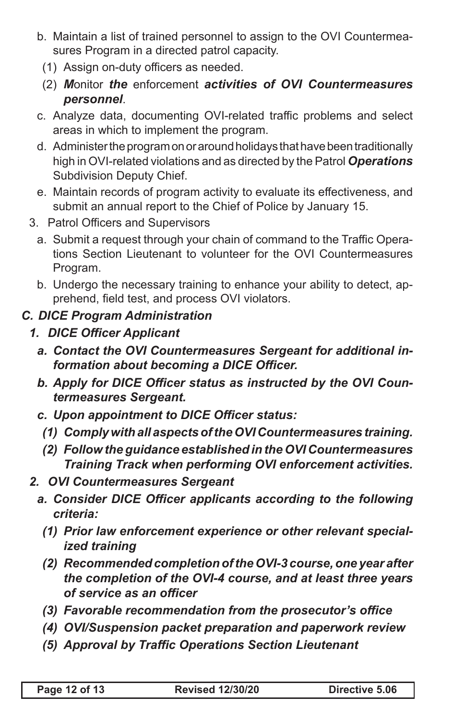- b. Maintain a list of trained personnel to assign to the OVI Countermeasures Program in a directed patrol capacity.
	- (1) Assign on-duty officers as needed.
	- (2) *M*onitor *the* enforcement *activities of OVI Countermeasures personnel*.
- c. Analyze data, documenting OVI-related traffic problems and select areas in which to implement the program.
- d. Administer the program on or around holidays that have been traditionally high in OVI-related violations and as directed by the Patrol *Operations* Subdivision Deputy Chief.
- e. Maintain records of program activity to evaluate its effectiveness, and submit an annual report to the Chief of Police by January 15.
- 3. Patrol Officers and Supervisors
	- a. Submit a request through your chain of command to the Traffic Operations Section Lieutenant to volunteer for the OVI Countermeasures Program.
	- b. Undergo the necessary training to enhance your ability to detect, apprehend, field test, and process OVI violators.

## *C. DICE Program Administration*

- *1. DICE Officer Applicant*
	- *a. Contact the OVI Countermeasures Sergeant for additional information about becoming a DICE Officer.*
	- *b. Apply for DICE Officer status as instructed by the OVI Countermeasures Sergeant.*
	- *c. Upon appointment to DICE Officer status:* 
		- *(1) Comply with all aspects of the OVI Countermeasures training.*
		- *(2) Follow the guidance established in the OVI Countermeasures Training Track when performing OVI enforcement activities.*
- *2. OVI Countermeasures Sergeant*
	- *a. Consider DICE Officer applicants according to the following criteria:*
		- *(1) Prior law enforcement experience or other relevant specialized training*
		- *(2) Recommended completion of the OVI-3 course, one year after the completion of the OVI-4 course, and at least three years of service as an officer*
		- *(3) Favorable recommendation from the prosecutor's office*
		- *(4) OVI/Suspension packet preparation and paperwork review*
		- *(5) Approval by Traffic Operations Section Lieutenant*